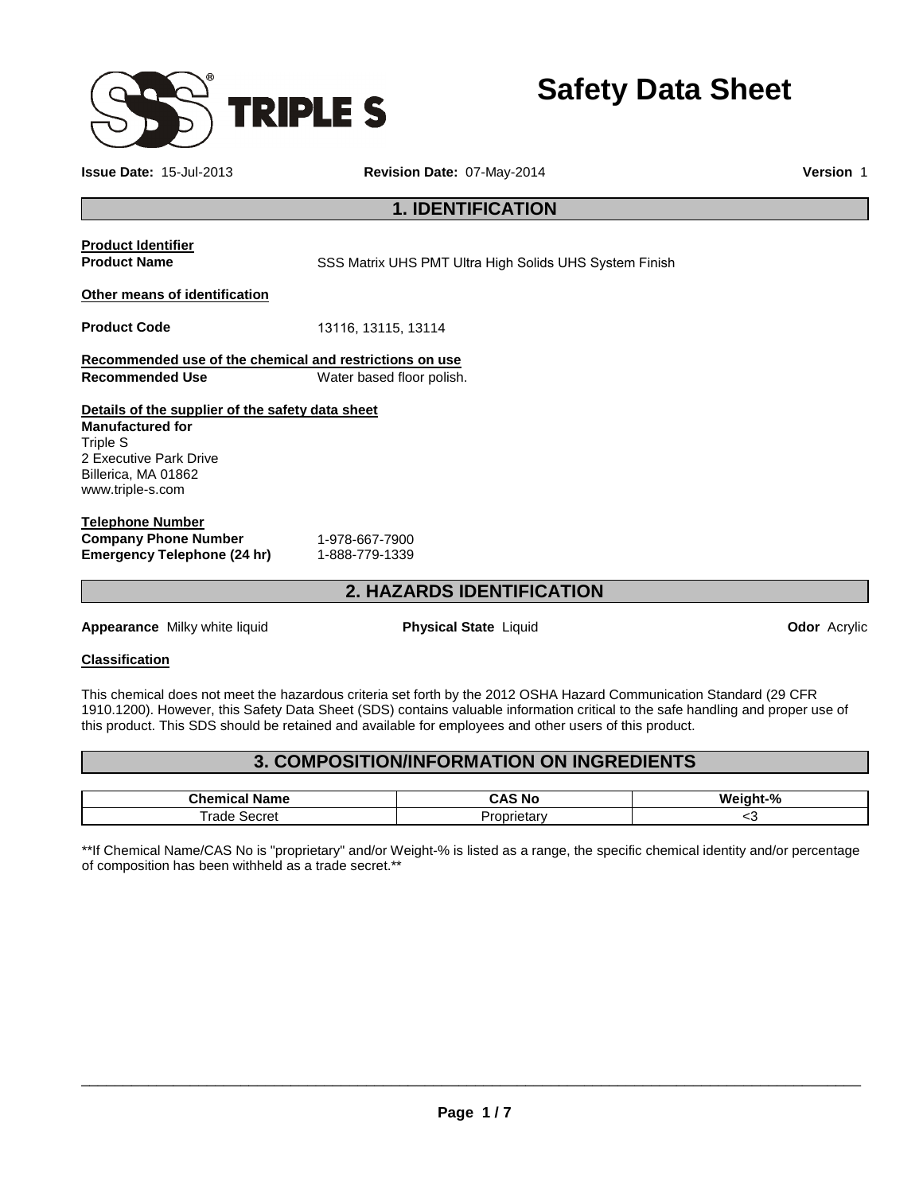

**Safety Data Sheet** 

**Issue Date:** 15-Jul-2013 **Revision Date:** 07-May-2014 **Version** 1

## **1. IDENTIFICATION**

# **Product Identifier**

**Product Name SSS Matrix UHS PMT Ultra High Solids UHS System Finish** 

#### **Other means of identification**

**Product Code** 13116, 13115, 13114

**Recommended use of the chemical and restrictions on use Recommended Use** Water based floor polish.

#### **Details of the supplier of the safety data sheet Manufactured for** Triple S 2 Executive Park Drive Billerica, MA 01862 www.triple-s.com

#### **Telephone Number Company Phone Number** 1-978-667-7900 **Emergency Telephone (24 hr)** 1-888-779-1339

## **2. HAZARDS IDENTIFICATION**

**Appearance** Milky white liquid **Physical State** Liquid **Odor** Acrylic

#### **Classification**

This chemical does not meet the hazardous criteria set forth by the 2012 OSHA Hazard Communication Standard (29 CFR 1910.1200). However, this Safety Data Sheet (SDS) contains valuable information critical to the safe handling and proper use of this product. This SDS should be retained and available for employees and other users of this product.

## **3. COMPOSITION/INFORMATION ON INGREDIENTS**

| <br>ıme<br>.n                | - -<br>'N<br>'Nu<br>. . | $\mathbf{a}$<br>M.<br>70 |
|------------------------------|-------------------------|--------------------------|
| $-$<br>cret<br>YТ⊩<br>.<br>. | rietary<br>$\sim$       | ∼                        |

\*\*If Chemical Name/CAS No is "proprietary" and/or Weight-% is listed as a range, the specific chemical identity and/or percentage of composition has been withheld as a trade secret.\*\*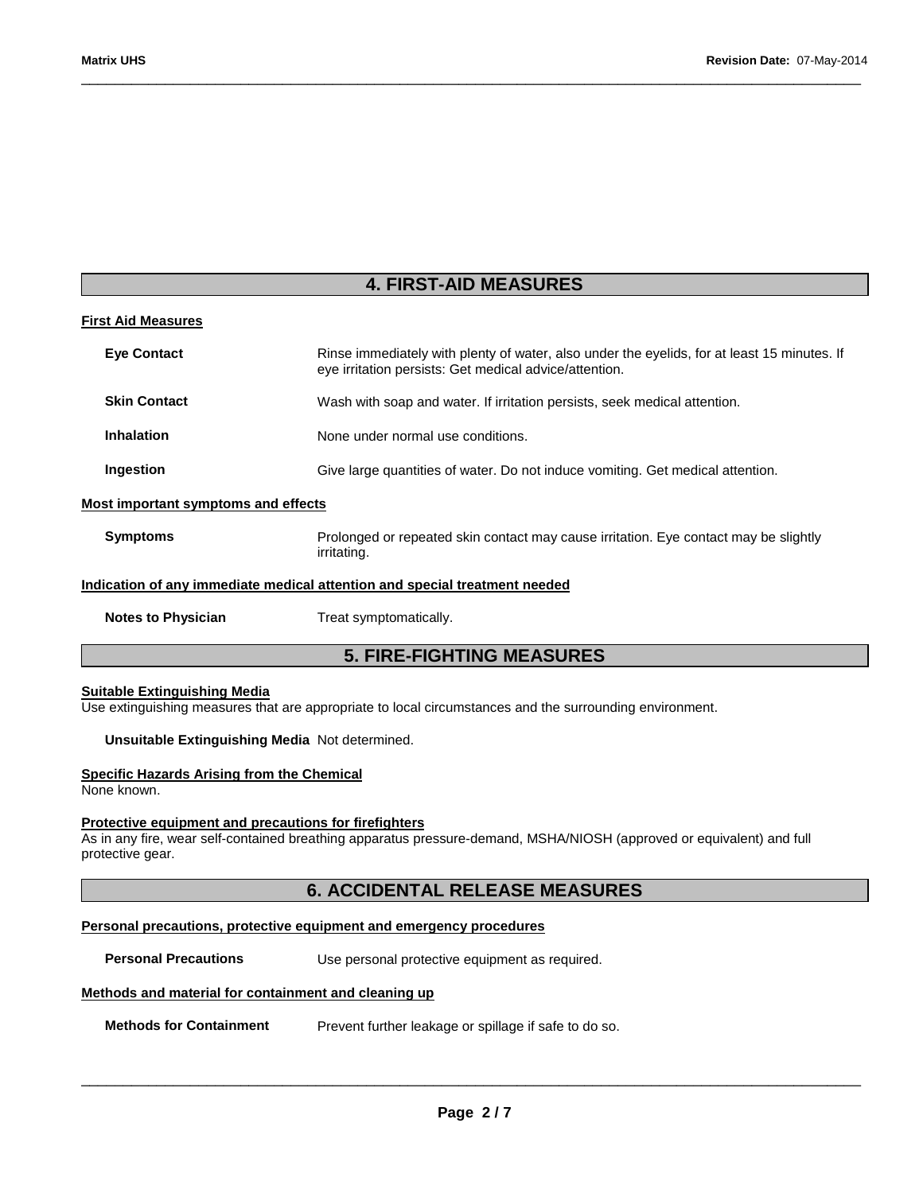## **4. FIRST-AID MEASURES**

\_\_\_\_\_\_\_\_\_\_\_\_\_\_\_\_\_\_\_\_\_\_\_\_\_\_\_\_\_\_\_\_\_\_\_\_\_\_\_\_\_\_\_\_\_\_\_\_\_\_\_\_\_\_\_\_\_\_\_\_\_\_\_\_\_\_\_\_\_\_\_\_\_\_\_\_\_\_\_\_\_\_\_\_\_\_\_\_\_\_\_\_\_

|  | <b>First Aid Measures</b> |  |
|--|---------------------------|--|
|  |                           |  |

| <b>Eye Contact</b>                  | Rinse immediately with plenty of water, also under the eyelids, for at least 15 minutes. If<br>eye irritation persists: Get medical advice/attention. |
|-------------------------------------|-------------------------------------------------------------------------------------------------------------------------------------------------------|
| <b>Skin Contact</b>                 | Wash with soap and water. If irritation persists, seek medical attention.                                                                             |
| <b>Inhalation</b>                   | None under normal use conditions.                                                                                                                     |
| Ingestion                           | Give large quantities of water. Do not induce vomiting. Get medical attention.                                                                        |
| Most important symptoms and effects |                                                                                                                                                       |
| <b>Symptoms</b>                     | Prolonged or repeated skin contact may cause irritation. Eye contact may be slightly<br>irritating.                                                   |
|                                     | Indication of any immediate medical attention and special treatment needed                                                                            |

**Notes to Physician**  Treat symptomatically.

## **5. FIRE-FIGHTING MEASURES**

### **Suitable Extinguishing Media**

Use extinguishing measures that are appropriate to local circumstances and the surrounding environment.

**Unsuitable Extinguishing Media** Not determined.

#### **Specific Hazards Arising from the Chemical**

None known.

#### **Protective equipment and precautions for firefighters**

As in any fire, wear self-contained breathing apparatus pressure-demand, MSHA/NIOSH (approved or equivalent) and full protective gear.

## **6. ACCIDENTAL RELEASE MEASURES**

#### **Personal precautions, protective equipment and emergency procedures**

**Personal Precautions Use personal protective equipment as required.** 

#### **Methods and material for containment and cleaning up**

**Methods for Containment** Prevent further leakage or spillage if safe to do so.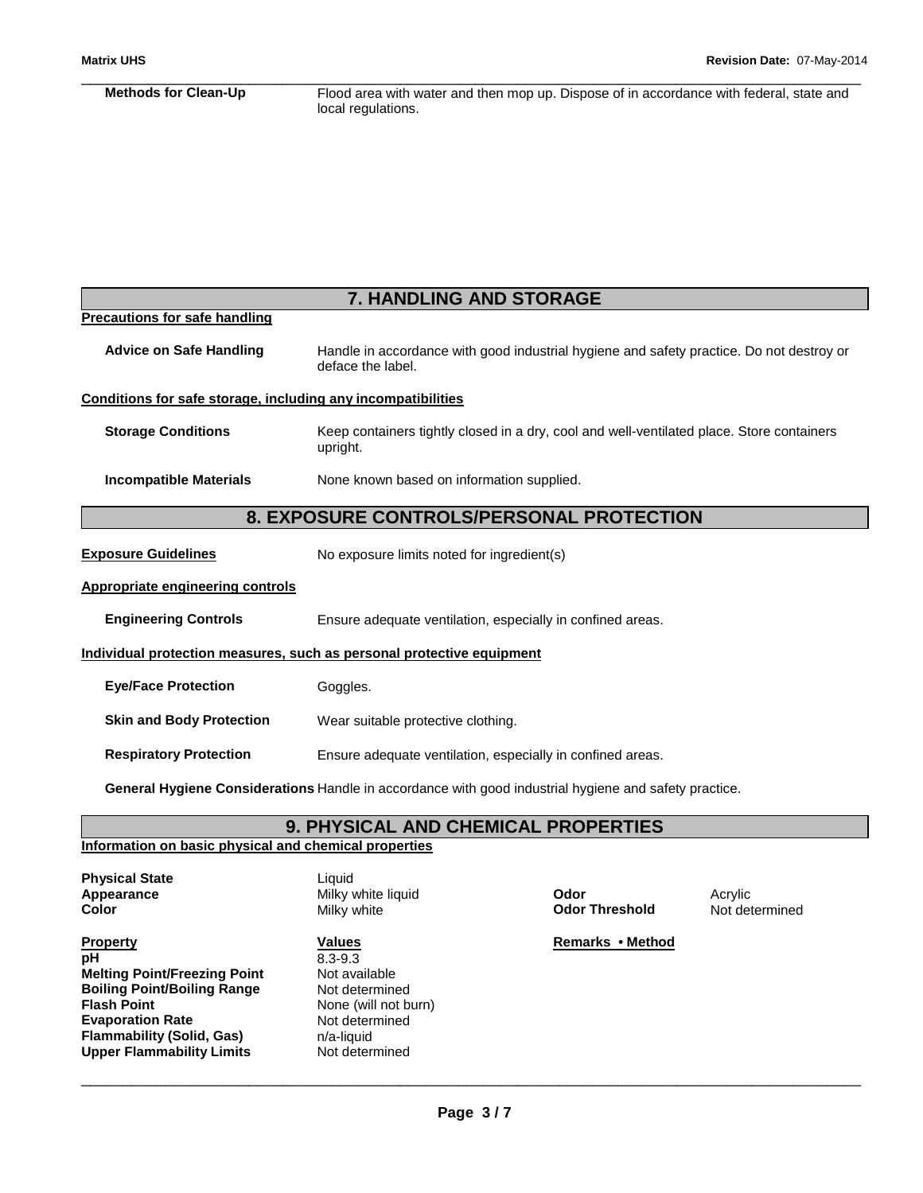#### \_\_\_\_\_\_\_\_\_\_\_\_\_\_\_\_\_\_\_\_\_\_\_\_\_\_\_\_\_\_\_\_\_\_\_\_\_\_\_\_\_\_\_\_\_\_\_\_\_\_\_\_\_\_\_\_\_\_\_\_\_\_\_\_\_\_\_\_\_\_\_\_\_\_\_\_\_\_\_\_\_\_\_\_\_\_\_\_\_\_\_\_\_ **Methods for Clean-Up** Flood area with water and then mop up. Dispose of in accordance with federal, state and local regulations.

| <b>7. HANDLING AND STORAGE</b>                               |                                                                                                               |  |
|--------------------------------------------------------------|---------------------------------------------------------------------------------------------------------------|--|
| <b>Precautions for safe handling</b>                         |                                                                                                               |  |
| <b>Advice on Safe Handling</b>                               | Handle in accordance with good industrial hygiene and safety practice. Do not destroy or<br>deface the label. |  |
| Conditions for safe storage, including any incompatibilities |                                                                                                               |  |
| <b>Storage Conditions</b>                                    | Keep containers tightly closed in a dry, cool and well-ventilated place. Store containers<br>upright.         |  |
| <b>Incompatible Materials</b>                                | None known based on information supplied.                                                                     |  |
|                                                              | 8. EXPOSURE CONTROLS/PERSONAL PROTECTION                                                                      |  |
| <b>Exposure Guidelines</b>                                   | No exposure limits noted for ingredient(s)                                                                    |  |
| <b>Appropriate engineering controls</b>                      |                                                                                                               |  |
| <b>Engineering Controls</b>                                  | Ensure adequate ventilation, especially in confined areas.                                                    |  |
|                                                              | Individual protection measures, such as personal protective equipment                                         |  |
| <b>Eye/Face Protection</b>                                   | Goggles.                                                                                                      |  |
| <b>Skin and Body Protection</b>                              | Wear suitable protective clothing.                                                                            |  |
| <b>Respiratory Protection</b>                                | Ensure adequate ventilation, especially in confined areas.                                                    |  |
|                                                              | General Hygiene Considerations Handle in accordance with good industrial hygiene and safety practice.         |  |

**9. PHYSICAL AND CHEMICAL PROPERTIES** 

#### **Information on basic physical and chemical properties**

| <b>Physical State</b> |  |
|-----------------------|--|
| Appearance            |  |
| Color                 |  |

**Property CONSERVITY IS Values Values Remarks • Method Remarks • Method pH** 8.3-9.3 **Melting Point/Freezing Point Wort available Boiling Point/Boiling Range Mot determined<br>
<b>Flash Point Communism** None (will not be **Evaporation Rate Flammability (Solid, Gas) n/a-liquid**<br> **Upper Flammability Limits** Not determined **Upper Flammability Limits** 

**Liquid Appearance Milky white liquid contract of the Codor Codor Christian Acrylic Milky white which contract of the Odor Threshold Codor Acrylic Mot det Milky white which contract a contract of Milky white which contract a cont** 

**None (will not burn)**<br>Not determined

Not determined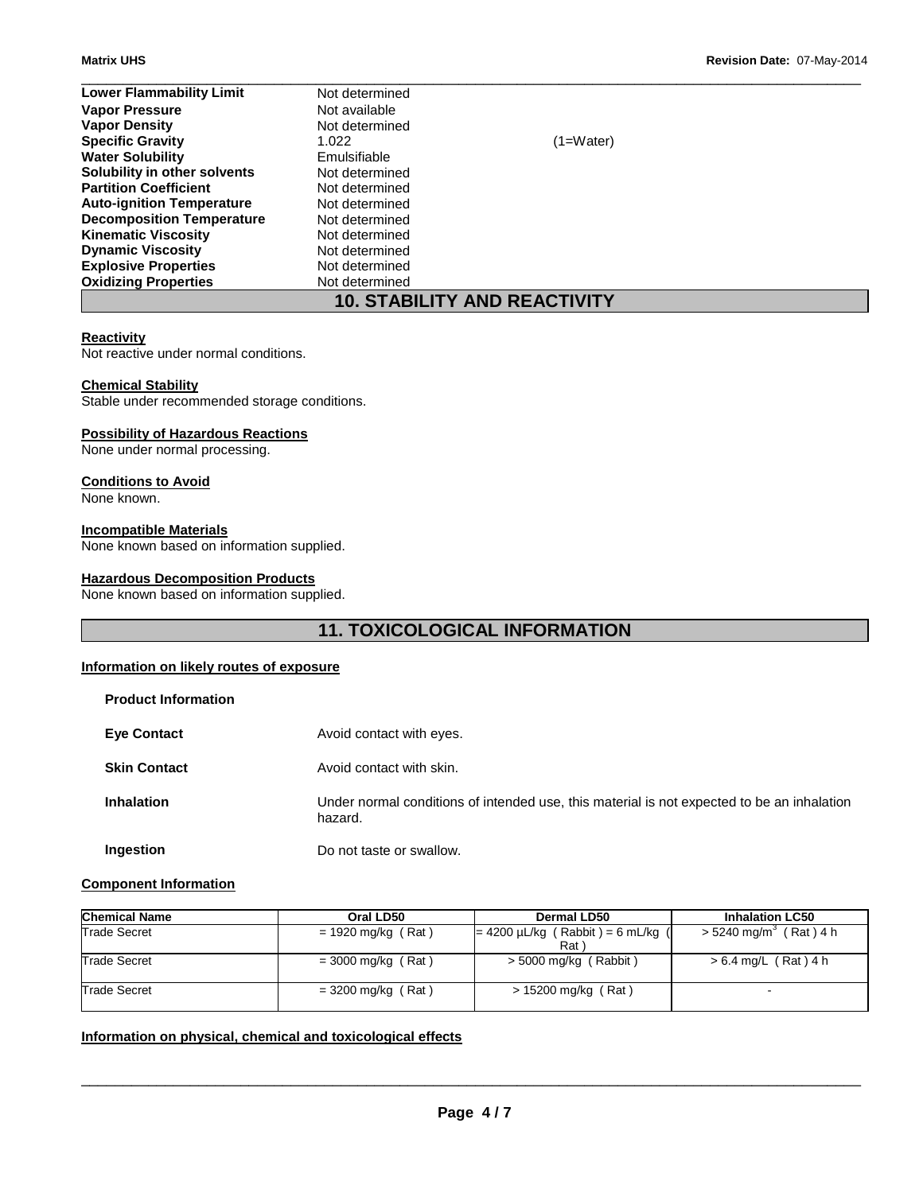| <b>Lower Flammability Limit</b>     | Not determined |             |  |
|-------------------------------------|----------------|-------------|--|
| <b>Vapor Pressure</b>               | Not available  |             |  |
| <b>Vapor Density</b>                | Not determined |             |  |
| <b>Specific Gravity</b>             | 1.022          | $(1=Water)$ |  |
| <b>Water Solubility</b>             | Emulsifiable   |             |  |
| Solubility in other solvents        | Not determined |             |  |
| <b>Partition Coefficient</b>        | Not determined |             |  |
| <b>Auto-ignition Temperature</b>    | Not determined |             |  |
| <b>Decomposition Temperature</b>    | Not determined |             |  |
| <b>Kinematic Viscosity</b>          | Not determined |             |  |
| <b>Dynamic Viscosity</b>            | Not determined |             |  |
| <b>Explosive Properties</b>         | Not determined |             |  |
| <b>Oxidizing Properties</b>         | Not determined |             |  |
| <b>10. STABILITY AND REACTIVITY</b> |                |             |  |

#### **Reactivity**

Not reactive under normal conditions.

#### **Chemical Stability**

Stable under recommended storage conditions.

#### **Possibility of Hazardous Reactions**

None under normal processing.

#### **Conditions to Avoid**

None known.

#### **Incompatible Materials**

None known based on information supplied.

#### **Hazardous Decomposition Products**

None known based on information supplied.

## **11. TOXICOLOGICAL INFORMATION**

#### **Information on likely routes of exposure**

| <b>Product Information</b> |                                                                                                       |
|----------------------------|-------------------------------------------------------------------------------------------------------|
| <b>Eye Contact</b>         | Avoid contact with eyes.                                                                              |
| <b>Skin Contact</b>        | Avoid contact with skin.                                                                              |
| <b>Inhalation</b>          | Under normal conditions of intended use, this material is not expected to be an inhalation<br>hazard. |
| Ingestion                  | Do not taste or swallow.                                                                              |

### **Component Information**

| <b>Chemical Name</b> | Oral LD50            | Dermal LD50                                   | <b>Inhalation LC50</b>               |
|----------------------|----------------------|-----------------------------------------------|--------------------------------------|
| <b>Trade Secret</b>  | $= 1920$ mg/kg (Rat) | $= 4200 \mu L/kg$ (Rabbit) = 6 mL/kg (<br>Rat | $>$ 5240 mg/m <sup>3</sup> (Rat) 4 h |
| Trade Secret         | $=$ 3000 mg/kg (Rat) | $>$ 5000 mg/kg (Rabbit)                       | $> 6.4$ mg/L (Rat) 4 h               |
| <b>Trade Secret</b>  | $= 3200$ mg/kg (Rat) | > 15200 mg/kg (Rat)                           |                                      |

#### **Information on physical, chemical and toxicological effects**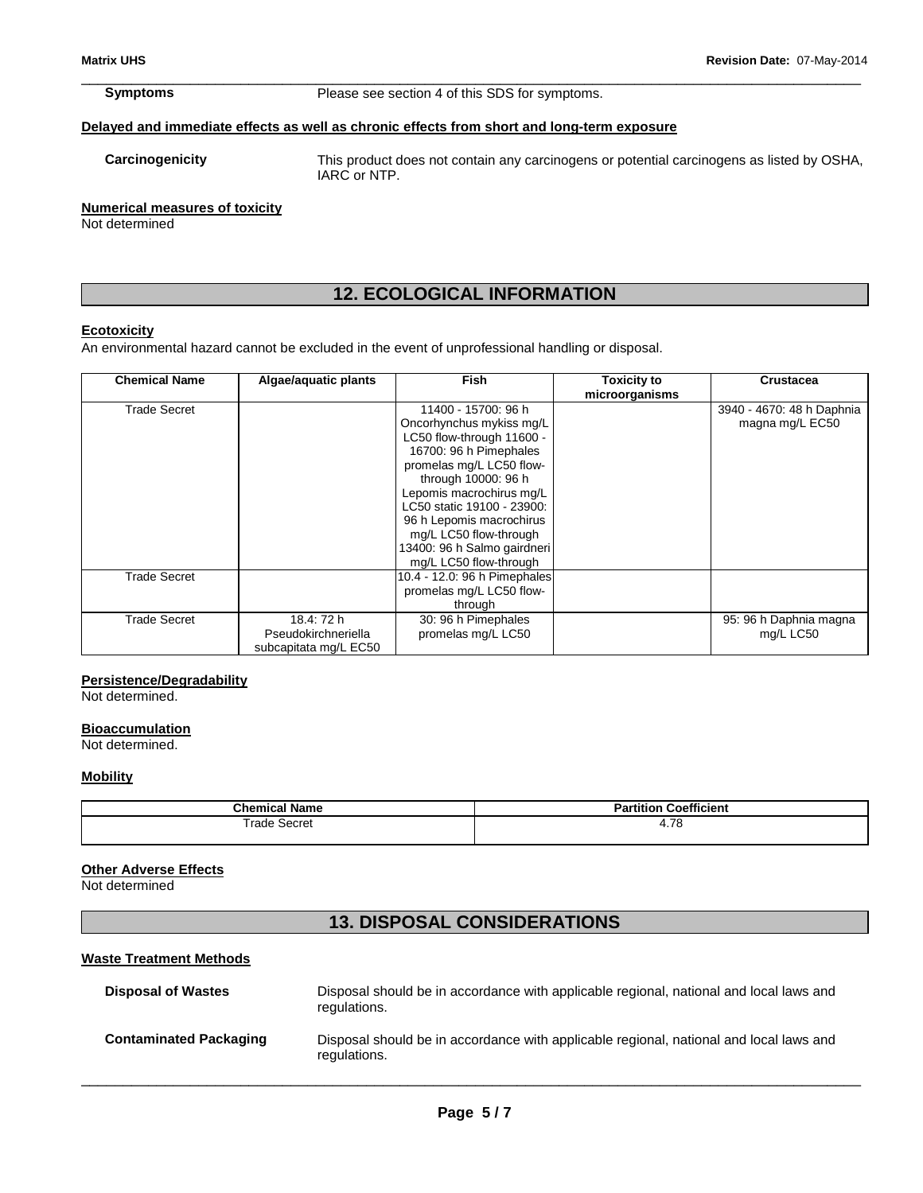\_\_\_\_\_\_\_\_\_\_\_\_\_\_\_\_\_\_\_\_\_\_\_\_\_\_\_\_\_\_\_\_\_\_\_\_\_\_\_\_\_\_\_\_\_\_\_\_\_\_\_\_\_\_\_\_\_\_\_\_\_\_\_\_\_\_\_\_\_\_\_\_\_\_\_\_\_\_\_\_\_\_\_\_\_\_\_\_\_\_\_\_\_ **Symptoms** Please see section 4 of this SDS for symptoms.

#### **Delayed and immediate effects as well as chronic effects from short and long-term exposure**

**Carcinogenicity** This product does not contain any carcinogens or potential carcinogens as listed by OSHA, IARC or NTP.

#### **Numerical measures of toxicity**

Not determined

## **12. ECOLOGICAL INFORMATION**

### **Ecotoxicity**

An environmental hazard cannot be excluded in the event of unprofessional handling or disposal.

| <b>Chemical Name</b> | Algae/aquatic plants  | Fish                         | <b>Toxicity to</b> | <b>Crustacea</b>          |
|----------------------|-----------------------|------------------------------|--------------------|---------------------------|
|                      |                       |                              | microorganisms     |                           |
| Trade Secret         |                       | 11400 - 15700: 96 h          |                    | 3940 - 4670: 48 h Daphnia |
|                      |                       | Oncorhynchus mykiss mg/L     |                    | magna mg/L EC50           |
|                      |                       | LC50 flow-through 11600 -    |                    |                           |
|                      |                       | 16700: 96 h Pimephales       |                    |                           |
|                      |                       | promelas mg/L LC50 flow-     |                    |                           |
|                      |                       | through 10000: 96 h          |                    |                           |
|                      |                       | Lepomis macrochirus mg/L     |                    |                           |
|                      |                       | LC50 static 19100 - 23900:   |                    |                           |
|                      |                       | 96 h Lepomis macrochirus     |                    |                           |
|                      |                       | mg/L LC50 flow-through       |                    |                           |
|                      |                       | 13400: 96 h Salmo gairdneri  |                    |                           |
|                      |                       | mg/L LC50 flow-through       |                    |                           |
| Trade Secret         |                       | 10.4 - 12.0: 96 h Pimephales |                    |                           |
|                      |                       | promelas mg/L LC50 flow-     |                    |                           |
|                      |                       | through                      |                    |                           |
| Trade Secret         | 18.4: 72 h            | 30: 96 h Pimephales          |                    | 95: 96 h Daphnia magna    |
|                      | Pseudokirchneriella   | promelas mg/L LC50           |                    | mg/L LC50                 |
|                      | subcapitata mg/L EC50 |                              |                    |                           |

#### **Persistence/Degradability**

Not determined.

#### **Bioaccumulation**

Not determined.

#### **Mobility**

| .<br><b>Chemical</b><br>' Name | <b>Coefficient</b><br>Partition |
|--------------------------------|---------------------------------|
| Frade                          | 70                              |
| Secret                         | $\mathbf{r}$                    |
| .                              | 7. I O                          |
| .                              | $\sim$ $\sim$                   |

#### **Other Adverse Effects**

Not determined

## **13. DISPOSAL CONSIDERATIONS**

#### **Waste Treatment Methods**

| <b>Disposal of Wastes</b>     | Disposal should be in accordance with applicable regional, national and local laws and<br>regulations. |
|-------------------------------|--------------------------------------------------------------------------------------------------------|
| <b>Contaminated Packaging</b> | Disposal should be in accordance with applicable regional, national and local laws and<br>regulations. |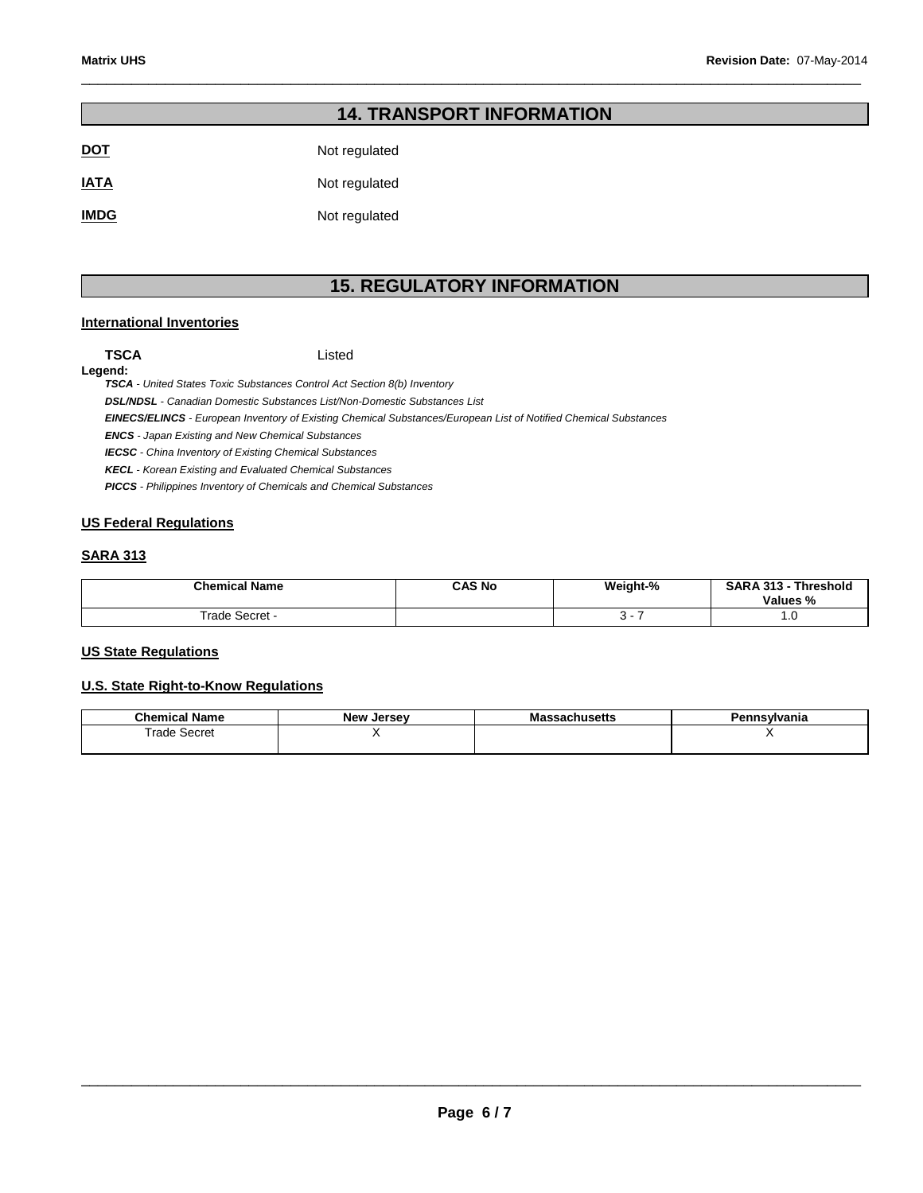|             | <b>14. TRANSPORT INFORMATION</b> |
|-------------|----------------------------------|
| <u>DOT</u>  | Not regulated                    |
| <u>IATA</u> | Not regulated                    |
| <b>IMDG</b> | Not regulated                    |

## **15. REGULATORY INFORMATION**

\_\_\_\_\_\_\_\_\_\_\_\_\_\_\_\_\_\_\_\_\_\_\_\_\_\_\_\_\_\_\_\_\_\_\_\_\_\_\_\_\_\_\_\_\_\_\_\_\_\_\_\_\_\_\_\_\_\_\_\_\_\_\_\_\_\_\_\_\_\_\_\_\_\_\_\_\_\_\_\_\_\_\_\_\_\_\_\_\_\_\_\_\_

#### **International Inventories**

**TSCA** Listed

#### **Legend:**

**TSCA** - United States Toxic Substances Control Act Section 8(b) Inventory

**DSL/NDSL** - Canadian Domestic Substances List/Non-Domestic Substances List

**EINECS/ELINCS** - European Inventory of Existing Chemical Substances/European List of Notified Chemical Substances

**ENCS** - Japan Existing and New Chemical Substances

**IECSC** - China Inventory of Existing Chemical Substances

**KECL** - Korean Existing and Evaluated Chemical Substances

**PICCS** - Philippines Inventory of Chemicals and Chemical Substances

#### **US Federal Regulations**

### **SARA 313**

| <b>Chemical Name</b> | CAS No | Weight-% | <b>SARA 313 -</b><br>Threshold<br>Values % |
|----------------------|--------|----------|--------------------------------------------|
| rade<br>Secret       |        |          | $\cdot$ $\circ$                            |

#### **US State Regulations**

#### **U.S. State Right-to-Know Regulations**

| - - -<br>Chemical<br>Name | New<br>Jersev | --<br>ма<br>ISCUS | ≅vlvania |
|---------------------------|---------------|-------------------|----------|
| rade<br>Secret<br>.       |               |                   |          |
|                           |               |                   |          |